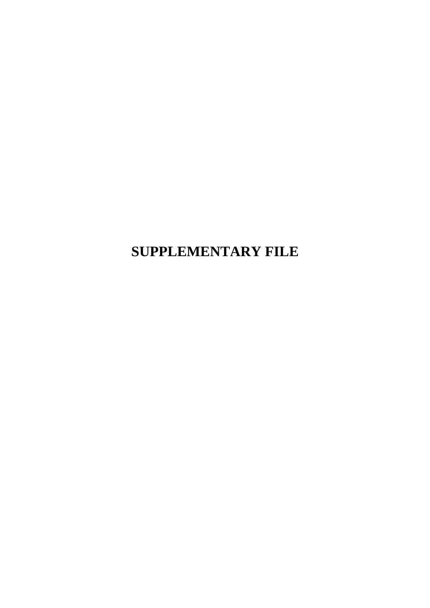**SUPPLEMENTARY FILE**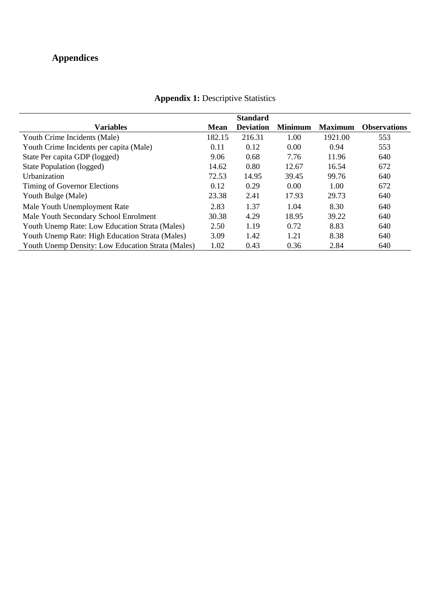## **Appendices**

|                                                          |             | <b>Standard</b>  |                |                |                     |
|----------------------------------------------------------|-------------|------------------|----------------|----------------|---------------------|
| <b>Variables</b>                                         | <b>Mean</b> | <b>Deviation</b> | <b>Minimum</b> | <b>Maximum</b> | <b>Observations</b> |
| Youth Crime Incidents (Male)                             | 182.15      | 216.31           | 1.00           | 1921.00        | 553                 |
| Youth Crime Incidents per capita (Male)                  | 0.11        | 0.12             | 0.00           | 0.94           | 553                 |
| State Per capita GDP (logged)                            | 9.06        | 0.68             | 7.76           | 11.96          | 640                 |
| State Population (logged)                                | 14.62       | 0.80             | 12.67          | 16.54          | 672                 |
| <b>Urbanization</b>                                      | 72.53       | 14.95            | 39.45          | 99.76          | 640                 |
| Timing of Governor Elections                             | 0.12        | 0.29             | 0.00           | 1.00           | 672                 |
| Youth Bulge (Male)                                       | 23.38       | 2.41             | 17.93          | 29.73          | 640                 |
| Male Youth Unemployment Rate                             | 2.83        | 1.37             | 1.04           | 8.30           | 640                 |
| Male Youth Secondary School Enrolment                    | 30.38       | 4.29             | 18.95          | 39.22          | 640                 |
| Youth Unemp Rate: Low Education Strata (Males)           | 2.50        | 1.19             | 0.72           | 8.83           | 640                 |
| Youth Unemp Rate: High Education Strata (Males)          | 3.09        | 1.42             | 1.21           | 8.38           | 640                 |
| <b>Youth Unemp Density: Low Education Strata (Males)</b> | 1.02        | 0.43             | 0.36           | 2.84           | 640                 |

## **Appendix 1: Descriptive Statistics**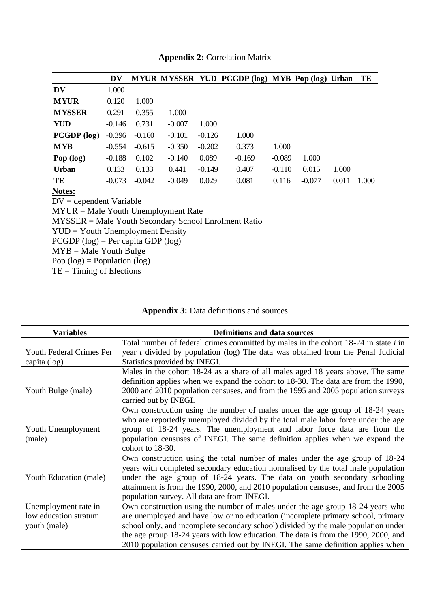|               | DV       |          |          |          | MYUR MYSSER YUD PCGDP (log) MYB Pop (log) Urban |          |          |       | TE    |
|---------------|----------|----------|----------|----------|-------------------------------------------------|----------|----------|-------|-------|
| <b>DV</b>     | 1.000    |          |          |          |                                                 |          |          |       |       |
| <b>MYUR</b>   | 0.120    | 1.000    |          |          |                                                 |          |          |       |       |
| <b>MYSSER</b> | 0.291    | 0.355    | 1.000    |          |                                                 |          |          |       |       |
| <b>YUD</b>    | $-0.146$ | 0.731    | $-0.007$ | 1.000    |                                                 |          |          |       |       |
| $PCGDP$ (log) | $-0.396$ | $-0.160$ | $-0.101$ | $-0.126$ | 1.000                                           |          |          |       |       |
| <b>MYB</b>    | $-0.554$ | $-0.615$ | $-0.350$ | $-0.202$ | 0.373                                           | 1.000    |          |       |       |
| Pop $(log)$   | $-0.188$ | 0.102    | $-0.140$ | 0.089    | $-0.169$                                        | $-0.089$ | 1.000    |       |       |
| <b>Urban</b>  | 0.133    | 0.133    | 0.441    | $-0.149$ | 0.407                                           | $-0.110$ | 0.015    | 1.000 |       |
| TE            | $-0.073$ | $-0.042$ | $-0.049$ | 0.029    | 0.081                                           | 0.116    | $-0.077$ | 0.011 | 1.000 |

#### **Appendix 2:** Correlation Matrix

#### **Notes:**

DV = dependent Variable  $MYUR = Male$  Youth Unemployment Rate MYSSER = Male Youth Secondary School Enrolment Ratio YUD = Youth Unemployment Density  $PCGDP (log) = Per$  capita  $GDP (log)$  $MYB = Male$  Youth Bulge Pop  $(log)$  = Population  $(log)$ 

 $TE =$ Timing of Elections

#### **Appendix 3:** Data definitions and sources

| <b>Variables</b>                                              | <b>Definitions and data sources</b>                                                                                                                                                                                                                                                                                                                                                                                              |
|---------------------------------------------------------------|----------------------------------------------------------------------------------------------------------------------------------------------------------------------------------------------------------------------------------------------------------------------------------------------------------------------------------------------------------------------------------------------------------------------------------|
| <b>Youth Federal Crimes Per</b><br>capita (log)               | Total number of federal crimes committed by males in the cohort 18-24 in state <i>i</i> in<br>year t divided by population (log) The data was obtained from the Penal Judicial<br>Statistics provided by INEGI.                                                                                                                                                                                                                  |
| Youth Bulge (male)                                            | Males in the cohort 18-24 as a share of all males aged 18 years above. The same<br>definition applies when we expand the cohort to 18-30. The data are from the 1990,<br>2000 and 2010 population censuses, and from the 1995 and 2005 population surveys<br>carried out by INEGI.                                                                                                                                               |
| Youth Unemployment<br>(male)                                  | Own construction using the number of males under the age group of 18-24 years<br>who are reportedly unemployed divided by the total male labor force under the age<br>group of 18-24 years. The unemployment and labor force data are from the<br>population censuses of INEGI. The same definition applies when we expand the<br>cohort to 18-30.                                                                               |
| Youth Education (male)                                        | Own construction using the total number of males under the age group of 18-24<br>years with completed secondary education normalised by the total male population<br>under the age group of 18-24 years. The data on youth secondary schooling<br>attainment is from the 1990, 2000, and 2010 population censuses, and from the 2005<br>population survey. All data are from INEGI.                                              |
| Unemployment rate in<br>low education stratum<br>youth (male) | Own construction using the number of males under the age group 18-24 years who<br>are unemployed and have low or no education (incomplete primary school, primary<br>school only, and incomplete secondary school) divided by the male population under<br>the age group 18-24 years with low education. The data is from the 1990, 2000, and<br>2010 population censuses carried out by INEGI. The same definition applies when |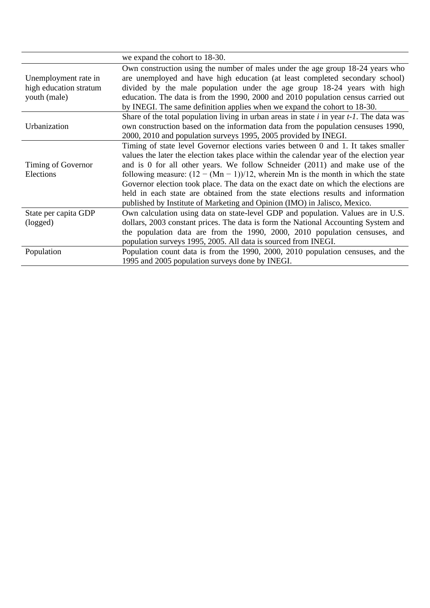|                                                                | we expand the cohort to 18-30.                                                                                                                                                                                                                                                                                                                                                                                                                                                                                                                                                                                 |
|----------------------------------------------------------------|----------------------------------------------------------------------------------------------------------------------------------------------------------------------------------------------------------------------------------------------------------------------------------------------------------------------------------------------------------------------------------------------------------------------------------------------------------------------------------------------------------------------------------------------------------------------------------------------------------------|
| Unemployment rate in<br>high education stratum<br>youth (male) | Own construction using the number of males under the age group 18-24 years who<br>are unemployed and have high education (at least completed secondary school)<br>divided by the male population under the age group 18-24 years with high<br>education. The data is from the 1990, 2000 and 2010 population census carried out<br>by INEGI. The same definition applies when we expand the cohort to 18-30.                                                                                                                                                                                                   |
| Urbanization                                                   | Share of the total population living in urban areas in state $i$ in year $t-1$ . The data was<br>own construction based on the information data from the population censuses 1990,<br>2000, 2010 and population surveys 1995, 2005 provided by INEGI.                                                                                                                                                                                                                                                                                                                                                          |
| Timing of Governor<br>Elections                                | Timing of state level Governor elections varies between 0 and 1. It takes smaller<br>values the later the election takes place within the calendar year of the election year<br>and is 0 for all other years. We follow Schneider $(2011)$ and make use of the<br>following measure: $(12 - (Mn - 1))/12$ , wherein Mn is the month in which the state<br>Governor election took place. The data on the exact date on which the elections are<br>held in each state are obtained from the state elections results and information<br>published by Institute of Marketing and Opinion (IMO) in Jalisco, Mexico. |
| State per capita GDP<br>(logged)                               | Own calculation using data on state-level GDP and population. Values are in U.S.<br>dollars, 2003 constant prices. The data is form the National Accounting System and<br>the population data are from the 1990, 2000, 2010 population censuses, and<br>population surveys 1995, 2005. All data is sourced from INEGI.                                                                                                                                                                                                                                                                                         |
| Population                                                     | Population count data is from the 1990, 2000, 2010 population censuses, and the<br>1995 and 2005 population surveys done by INEGI.                                                                                                                                                                                                                                                                                                                                                                                                                                                                             |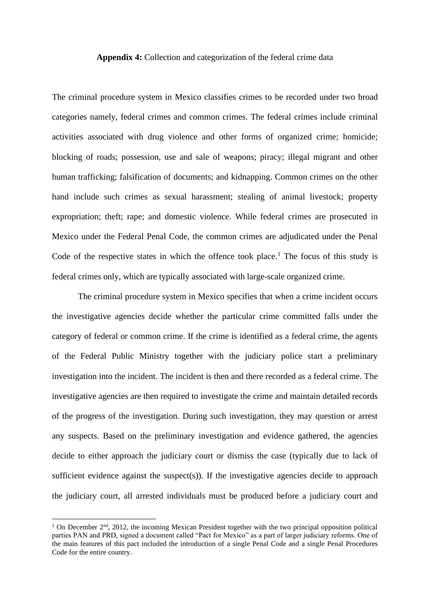#### **Appendix 4:** Collection and categorization of the federal crime data

The criminal procedure system in Mexico classifies crimes to be recorded under two broad categories namely, federal crimes and common crimes. The federal crimes include criminal activities associated with drug violence and other forms of organized crime; homicide; blocking of roads; possession, use and sale of weapons; piracy; illegal migrant and other human trafficking; falsification of documents; and kidnapping. Common crimes on the other hand include such crimes as sexual harassment; stealing of animal livestock; property expropriation; theft; rape; and domestic violence. While federal crimes are prosecuted in Mexico under the Federal Penal Code, the common crimes are adjudicated under the Penal Code of the respective states in which the offence took place.<sup>1</sup> The focus of this study is federal crimes only, which are typically associated with large-scale organized crime.

The criminal procedure system in Mexico specifies that when a crime incident occurs the investigative agencies decide whether the particular crime committed falls under the category of federal or common crime. If the crime is identified as a federal crime, the agents of the Federal Public Ministry together with the judiciary police start a preliminary investigation into the incident. The incident is then and there recorded as a federal crime. The investigative agencies are then required to investigate the crime and maintain detailed records of the progress of the investigation. During such investigation, they may question or arrest any suspects. Based on the preliminary investigation and evidence gathered, the agencies decide to either approach the judiciary court or dismiss the case (typically due to lack of sufficient evidence against the suspect(s)). If the investigative agencies decide to approach the judiciary court, all arrested individuals must be produced before a judiciary court and

<sup>&</sup>lt;sup>1</sup> On December 2<sup>nd</sup>, 2012, the incoming Mexican President together with the two principal opposition political parties PAN and PRD, signed a document called "Pact for Mexico" as a part of larger judiciary reforms. One of the main features of this pact included the introduction of a single Penal Code and a single Penal Procedures Code for the entire country.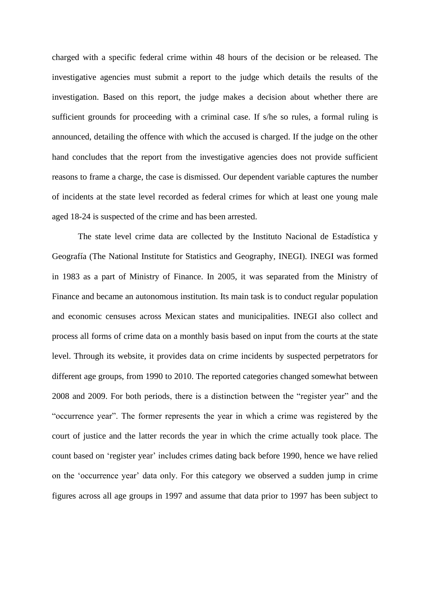charged with a specific federal crime within 48 hours of the decision or be released. The investigative agencies must submit a report to the judge which details the results of the investigation. Based on this report, the judge makes a decision about whether there are sufficient grounds for proceeding with a criminal case. If s/he so rules, a formal ruling is announced, detailing the offence with which the accused is charged. If the judge on the other hand concludes that the report from the investigative agencies does not provide sufficient reasons to frame a charge, the case is dismissed. Our dependent variable captures the number of incidents at the state level recorded as federal crimes for which at least one young male aged 18-24 is suspected of the crime and has been arrested.

The state level crime data are collected by the Instituto Nacional de Estadística y Geografía (The National Institute for Statistics and Geography, INEGI). INEGI was formed in 1983 as a part of Ministry of Finance. In 2005, it was separated from the Ministry of Finance and became an autonomous institution. Its main task is to conduct regular population and economic censuses across Mexican states and municipalities. INEGI also collect and process all forms of crime data on a monthly basis based on input from the courts at the state level. Through its website, it provides data on crime incidents by suspected perpetrators for different age groups, from 1990 to 2010. The reported categories changed somewhat between 2008 and 2009. For both periods, there is a distinction between the "register year" and the "occurrence year". The former represents the year in which a crime was registered by the court of justice and the latter records the year in which the crime actually took place. The count based on 'register year' includes crimes dating back before 1990, hence we have relied on the 'occurrence year' data only. For this category we observed a sudden jump in crime figures across all age groups in 1997 and assume that data prior to 1997 has been subject to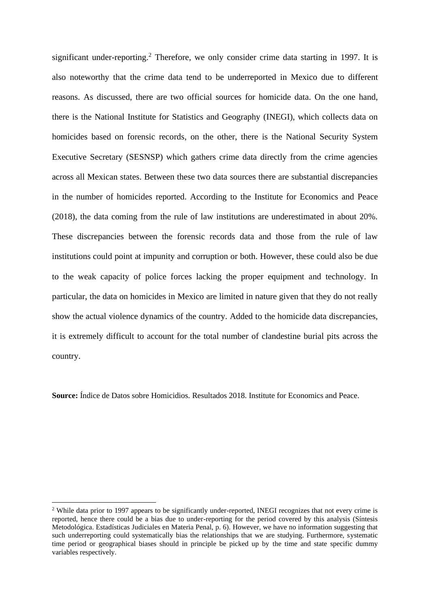significant under-reporting.<sup>2</sup> Therefore, we only consider crime data starting in 1997. It is also noteworthy that the crime data tend to be underreported in Mexico due to different reasons. As discussed, there are two official sources for homicide data. On the one hand, there is the National Institute for Statistics and Geography (INEGI), which collects data on homicides based on forensic records, on the other, there is the National Security System Executive Secretary (SESNSP) which gathers crime data directly from the crime agencies across all Mexican states. Between these two data sources there are substantial discrepancies in the number of homicides reported. According to the Institute for Economics and Peace (2018), the data coming from the rule of law institutions are underestimated in about 20%. These discrepancies between the forensic records data and those from the rule of law institutions could point at impunity and corruption or both. However, these could also be due to the weak capacity of police forces lacking the proper equipment and technology. In particular, the data on homicides in Mexico are limited in nature given that they do not really show the actual violence dynamics of the country. Added to the homicide data discrepancies, it is extremely difficult to account for the total number of clandestine burial pits across the country.

**Source:** Índice de Datos sobre Homicidios. Resultados 2018. Institute for Economics and Peace.

<sup>&</sup>lt;sup>2</sup> While data prior to 1997 appears to be significantly under-reported. INEGI recognizes that not every crime is reported, hence there could be a bias due to under-reporting for the period covered by this analysis (Síntesis Metodológica. Estadísticas Judiciales en Materia Penal, p. 6). However, we have no information suggesting that such underreporting could systematically bias the relationships that we are studying. Furthermore, systematic time period or geographical biases should in principle be picked up by the time and state specific dummy variables respectively.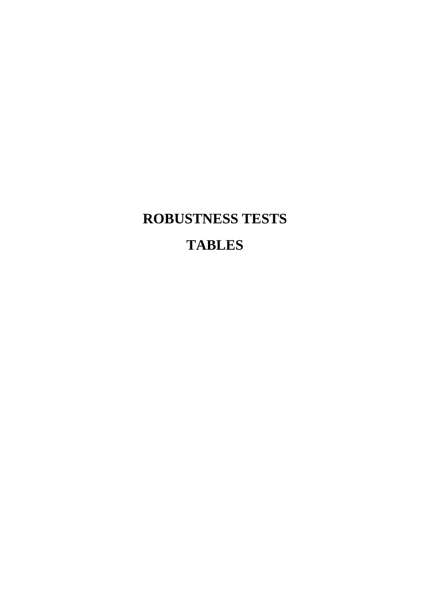# **ROBUSTNESS TESTS TABLES**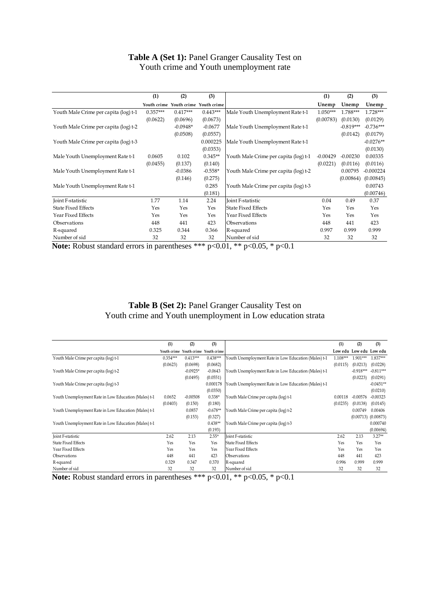#### **Table A (Set 1):** Panel Granger Causality Test on Youth crime and Youth unemployment rate

|                                                                                           | (1)        | (2)                                 | (3)        |                                       | (1)        | (2)         | (3)         |  |  |
|-------------------------------------------------------------------------------------------|------------|-------------------------------------|------------|---------------------------------------|------------|-------------|-------------|--|--|
|                                                                                           |            | Youth crime Youth crime Youth crime |            |                                       | Unemp      | Unemp       | Unemp       |  |  |
| Youth Male Crime per capita (log) t-1                                                     | $0.357***$ | $0.417***$                          | $0.443***$ | Male Youth Unemployment Rate t-1      | $1.050***$ | 1.788***    | $1.728***$  |  |  |
|                                                                                           | (0.0622)   | (0.0696)                            | (0.0673)   |                                       | (0.00783)  | (0.0130)    | (0.0129)    |  |  |
| Youth Male Crime per capita (log) t-2                                                     |            | $-0.0948*$                          | $-0.0677$  | Male Youth Unemployment Rate t-1      |            | $-0.819***$ | $-0.736***$ |  |  |
|                                                                                           |            | (0.0508)                            | (0.0557)   |                                       |            | (0.0142)    | (0.0179)    |  |  |
| Youth Male Crime per capita (log) t-3                                                     |            |                                     | 0.000225   | Male Youth Unemployment Rate t-1      |            |             | $-0.0276**$ |  |  |
|                                                                                           |            |                                     | (0.0353)   |                                       |            |             | (0.0130)    |  |  |
| Male Youth Unemployment Rate t-1                                                          | 0.0605     | 0.102                               | $0.345**$  | Youth Male Crime per capita (log) t-1 | $-0.00429$ | $-0.00230$  | 0.00335     |  |  |
|                                                                                           | (0.0455)   | (0.137)                             | (0.140)    |                                       | (0.0221)   | (0.0116)    | (0.0116)    |  |  |
| Male Youth Unemployment Rate t-1                                                          |            | $-0.0386$                           | $-0.558*$  | Youth Male Crime per capita (log) t-2 |            | 0.00795     | $-0.000224$ |  |  |
|                                                                                           |            | (0.146)                             | (0.275)    |                                       |            | (0.00864)   | (0.00845)   |  |  |
| Male Youth Unemployment Rate t-1                                                          |            |                                     | 0.285      | Youth Male Crime per capita (log) t-3 |            |             | 0.00743     |  |  |
|                                                                                           |            |                                     | (0.181)    |                                       |            |             | (0.00746)   |  |  |
| Joint F-statistic                                                                         | 1.77       | 1.14                                | 2.24       | <b>Joint F-statistic</b>              | 0.04       | 0.49        | 0.37        |  |  |
| <b>State Fixed Effects</b>                                                                | Yes        | Yes                                 | Yes        | <b>State Fixed Effects</b>            | Yes        | Yes         | Yes         |  |  |
| Year Fixed Effects                                                                        | Yes        | Yes                                 | Yes        | Year Fixed Effects                    | Yes        | Yes         | Yes         |  |  |
| Observations                                                                              | 448        | 441                                 | 423        | Observations                          | 448        | 441         | 423         |  |  |
| R-squared                                                                                 | 0.325      | 0.344                               | 0.366      | R-squared                             | 0.997      | 0.999       | 0.999       |  |  |
| Number of sid                                                                             | 32         | 32                                  | 32         | Number of sid                         | 32         | 32          | 32          |  |  |
| <b>Note:</b> Robust standard errors in parentheses *** $p<0.01$ , ** $p<0.05$ , * $p<0.1$ |            |                                     |            |                                       |            |             |             |  |  |

#### **Table B (Set 2):** Panel Granger Causality Test on Youth crime and Youth unemployment in Low education strata

|                                                      | (1)                                                                                   | (2)                     | (3)        |                                                      | (1)      | (2)                     | (3)         |  |  |  |  |
|------------------------------------------------------|---------------------------------------------------------------------------------------|-------------------------|------------|------------------------------------------------------|----------|-------------------------|-------------|--|--|--|--|
|                                                      | Youth crime                                                                           | Youth crime Youth crime |            |                                                      |          | Low edu Low edu Low edu |             |  |  |  |  |
| Youth Male Crime per capita (log) t-1                | $0.354***$                                                                            | $0.413***$              | $0.438***$ | Youth Unemployment Rate in Low Education (Males) t-1 | 1.108*** | $1.901***$              | 1.837***    |  |  |  |  |
|                                                      | (0.0623)                                                                              | (0.0698)                | (0.0682)   |                                                      | (0.0115) | (0.0213)                | (0.0228)    |  |  |  |  |
| Youth Male Crime per capita (log) t-2                |                                                                                       | $-0.0925*$              | $-0.0643$  | Youth Unemployment Rate in Low Education (Males) t-1 |          | $-0.918***$             | $-0.811***$ |  |  |  |  |
|                                                      |                                                                                       | (0.0495)                | (0.0551)   |                                                      |          | (0.0223)                | (0.0291)    |  |  |  |  |
| Youth Male Crime per capita (log) t-3                |                                                                                       |                         | 0.000178   | Youth Unemployment Rate in Low Education (Males) t-1 |          |                         | $-0.0451**$ |  |  |  |  |
|                                                      |                                                                                       |                         | (0.0350)   |                                                      |          |                         | (0.0210)    |  |  |  |  |
| Youth Unemployment Rate in Low Education (Males) t-1 | 0.0652                                                                                | $-0.00508$              | $0.338*$   | Youth Male Crime per capita (log) t-1                | 0.00118  | $-0.00576$              | $-0.00323$  |  |  |  |  |
|                                                      | (0.0403)                                                                              | (0.150)                 | (0.180)    |                                                      | (0.0235) | (0.0138)                | (0.0145)    |  |  |  |  |
| Youth Unemployment Rate in Low Education (Males) t-1 |                                                                                       | 0.0857                  | $-0.678**$ | Youth Male Crime per capita (log) t-2                |          | 0.00749                 | 0.00406     |  |  |  |  |
|                                                      |                                                                                       | (0.153)                 | (0.327)    |                                                      |          | (0.00713)               | (0.00873)   |  |  |  |  |
| Youth Unemployment Rate in Low Education (Males) t-1 |                                                                                       |                         | $0.438**$  | Youth Male Crime per capita (log) t-3                |          |                         | 0.000740    |  |  |  |  |
|                                                      |                                                                                       |                         | (0.193)    |                                                      |          |                         | (0.00694)   |  |  |  |  |
| Joint F-statistic                                    | 2.62                                                                                  | 2.13                    | $2.55*$    | Joint F-statistic                                    | 2.62     | 2.13                    | $3.27**$    |  |  |  |  |
| <b>State Fixed Effects</b>                           | Yes                                                                                   | Yes                     | Yes        | <b>State Fixed Effects</b>                           | Yes      | Yes                     | Yes         |  |  |  |  |
| Year Fixed Effects                                   | Yes                                                                                   | Yes                     | Yes        | Year Fixed Effects                                   | Yes      | Yes                     | Yes         |  |  |  |  |
| Observations                                         | 448                                                                                   | 441                     | 423        | Observations                                         | 448      | 441                     | 423         |  |  |  |  |
| R-squared                                            | 0.329                                                                                 | 0.347                   | 0.370      | R-squared                                            | 0.996    | 0.999                   | 0.999       |  |  |  |  |
| Number of sid                                        | 32                                                                                    | 32                      | 32         | Number of sid                                        | 32       | 32                      | 32          |  |  |  |  |
|                                                      | Note: Robust standard errors in parentheses ***<br>$p<0.01$ , ** $p<0.05$ , * $p<0.1$ |                         |            |                                                      |          |                         |             |  |  |  |  |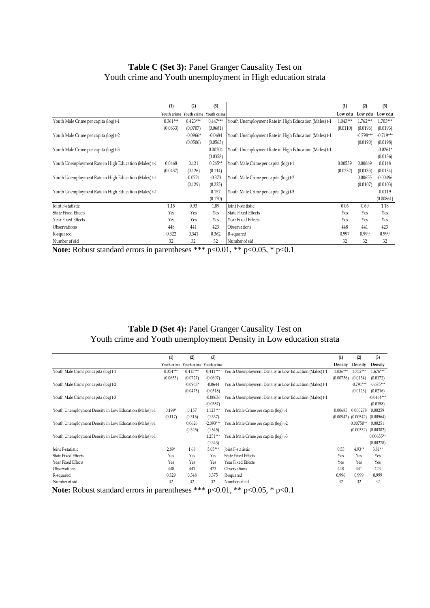#### **Table C (Set 3):** Panel Granger Causality Test on Youth crime and Youth unemployment in High education strata

|                                                       | (1)                                                                                       | (2)        | (3)                     |                                                       | (1)        | (2)         | (3)             |  |  |  |  |
|-------------------------------------------------------|-------------------------------------------------------------------------------------------|------------|-------------------------|-------------------------------------------------------|------------|-------------|-----------------|--|--|--|--|
|                                                       | Youth crime                                                                               |            | Youth crime Youth crime |                                                       | Low edu    |             | Low edu Low edu |  |  |  |  |
| Youth Male Crime per capita (log) t-1                 | $0.361***$                                                                                | $0.423***$ | $0.447***$              | Youth Unemployment Rate in High Education (Males) t-1 | $1.043***$ | 1.762***    | $1.703***$      |  |  |  |  |
|                                                       | (0.0633)                                                                                  | (0.0707)   | (0.0681)                |                                                       | (0.0110)   | (0.0196)    | (0.0193)        |  |  |  |  |
| Youth Male Crime per capita (log) t-2                 |                                                                                           | $-0.0966*$ | $-0.0684$               | Youth Unemployment Rate in High Education (Males) t-1 |            | $-0.798***$ | $-0.719***$     |  |  |  |  |
|                                                       |                                                                                           | (0.0506)   | (0.0563)                |                                                       |            | (0.0190)    | (0.0198)        |  |  |  |  |
| Youth Male Crime per capita (log) t-3                 |                                                                                           |            | 0.00204                 | Youth Unemployment Rate in High Education (Males) t-1 |            |             | $-0.0264*$      |  |  |  |  |
|                                                       |                                                                                           |            | (0.0358)                |                                                       |            |             | (0.0136)        |  |  |  |  |
| Youth Unemployment Rate in High Education (Males) t-1 | 0.0468                                                                                    | 0.121      | $0.265**$               | Youth Male Crime per capita (log) t-1                 | 0.00559    | 0.00669     | 0.0148          |  |  |  |  |
|                                                       | (0.0437)                                                                                  | (0.126)    | (0.114)                 |                                                       | (0.0232)   | (0.0135)    | (0.0134)        |  |  |  |  |
| Youth Unemployment Rate in High Education (Males) t-1 |                                                                                           | $-0.0721$  | $-0.373$                | Youth Male Crime per capita (log) t-2                 |            | 0.00655     | $-0.00496$      |  |  |  |  |
|                                                       |                                                                                           | (0.129)    | (0.225)                 |                                                       |            | (0.0107)    | (0.0103)        |  |  |  |  |
| Youth Unemployment Rate in High Education (Males) t-1 |                                                                                           |            | 0.157                   | Youth Male Crime per capita (log) t-3                 |            |             | 0.0119          |  |  |  |  |
|                                                       |                                                                                           |            | (0.170)                 |                                                       |            |             | (0.00861)       |  |  |  |  |
| Joint F-statistic                                     | 1.15                                                                                      | 0.93       | 1.89                    | Joint F-statistic                                     | 0.06       | 0.69        | 1.18            |  |  |  |  |
| <b>State Fixed Effects</b>                            | Yes                                                                                       | Yes        | Yes                     | <b>State Fixed Effects</b>                            | Yes        | Yes         | Yes             |  |  |  |  |
| Year Fixed Effects                                    | Yes                                                                                       | Yes        | Yes                     | Year Fixed Effects                                    | Yes        | Yes         | Yes             |  |  |  |  |
| Observations                                          | 448                                                                                       | 441        | 423                     | Observations                                          | 448        | 441         | 423             |  |  |  |  |
| R-squared                                             | 0.322                                                                                     | 0.341      | 0.362                   | R-squared                                             | 0.997      | 0.999       | 0.999           |  |  |  |  |
| Number of sid                                         | 32                                                                                        | 32         | 32                      | Number of sid                                         | 32         | 32          | 32              |  |  |  |  |
|                                                       | <b>Note:</b> Robust standard errors in parentheses *** $p<0.01$ , ** $p<0.05$ , * $p<0.1$ |            |                         |                                                       |            |             |                 |  |  |  |  |

#### **Table D (Set 4):** Panel Granger Causality Test on Youth crime and Youth unemployment Density in Low education strata

|                                                         | (1)        | (2)                                 | (3)         |                                                         | (1)        | (2)         | (3)          |
|---------------------------------------------------------|------------|-------------------------------------|-------------|---------------------------------------------------------|------------|-------------|--------------|
|                                                         |            | Youth crime Youth crime Youth crime |             |                                                         | Density    | Density     | Density      |
| Youth Male Crime per capita (log) t-1                   | $0.354***$ | $0.415***$                          | $0.441***$  | Youth Unemployment Density in Low Education (Males) t-1 | $1.036***$ | 1.752***    | $1.676***$   |
|                                                         | (0.0653)   | (0.0727)                            | (0.0697)    |                                                         | (0.00756)  | (0.0134)    | (0.0172)     |
| Youth Male Crime per capita (log) t-2                   |            | $-0.0963*$                          | $-0.0644$   | Youth Unemployment Density in Low Education (Males) t-1 |            | $-0.791***$ | $-0.675***$  |
|                                                         |            | (0.0475)                            | (0.0518)    |                                                         |            | (0.0126)    | (0.0216)     |
| Youth Male Crime per capita (log) t-3                   |            |                                     | $-0.00636$  | Youth Unemployment Density in Low Education (Males) t-1 |            |             | $-0.0464***$ |
|                                                         |            |                                     | (0.0357)    |                                                         |            |             | (0.0158)     |
| Youth Unemployment Density in Low Education (Males) t-1 | $0.199*$   | 0.157                               | $1.123***$  | Youth Male Crime per capita (log) t-1                   | 0.00685    | 0.000278    | 0.00259      |
|                                                         | (0.117)    | (0.316)                             | (0.337)     |                                                         | (0.00942)  | (0.00542)   | (0.00564)    |
| Youth Unemployment Density in Low Education (Males) t-1 |            | 0.0626                              | $-2.093***$ | Youth Male Crime per capita (log) t-2                   |            | $0.00750**$ | 0.00251      |
|                                                         |            | (0.325)                             | (0.545)     |                                                         |            | (0.00332)   | (0.00382)    |
| Youth Unemployment Density in Low Education (Males) t-1 |            |                                     | $1.251***$  | Youth Male Crime per capita (log) t-3                   |            |             | $0.00655**$  |
|                                                         |            |                                     | (0.343)     |                                                         |            |             | (0.00278)    |
| Joint F-statistic                                       | $2.89*$    | 1.68                                | $5.05***$   | Joint F-statistic                                       | 0.53       | $4.93**$    | $3.81**$     |
| <b>State Fixed Effects</b>                              | Yes        | Yes                                 | Yes         | <b>State Fixed Effects</b>                              | Yes        | Yes         | Yes          |
| Year Fixed Effects                                      | Yes        | Yes                                 | Yes         | Year Fixed Effects                                      | Yes        | Yes         | Yes          |
| Observations                                            | 448        | 441                                 | 423         | Observations                                            | 448        | 441         | 423          |
| R-squared                                               | 0.329      | 0.348                               | 0.375       | R-squared                                               | 0.996      | 0.999       | 0.999        |
| Number of sid                                           | 32         | 32                                  | 32          | Number of sid                                           | 32         | 32          | 32           |
| Note: Robust standard errors in parentheses ***         |            |                                     |             | $p<0.01$ , ** $p<0.05$ , * $p<0.1$                      |            |             |              |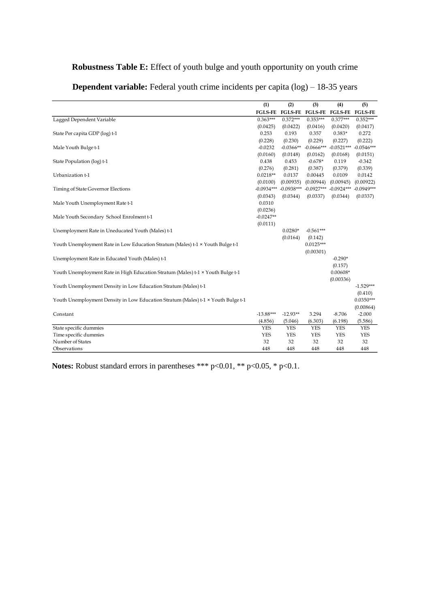#### **Robustness Table E:** Effect of youth bulge and youth opportunity on youth crime

|                                                                                   | (1)            | (2)            | (3)            | (4)            | (5)            |
|-----------------------------------------------------------------------------------|----------------|----------------|----------------|----------------|----------------|
|                                                                                   | <b>FGLS-FE</b> | <b>FGLS-FE</b> | <b>FGLS-FE</b> | <b>FGLS-FE</b> | <b>FGLS-FE</b> |
| Lagged Dependent Variable                                                         | $0.363***$     | $0.372***$     | $0.353***$     | $0.377***$     | $0.352***$     |
|                                                                                   | (0.0425)       | (0.0422)       | (0.0416)       | (0.0420)       | (0.0417)       |
| State Per capita GDP (log) t-1                                                    | 0.253          | 0.193          | 0.357          | $0.383*$       | 0.272          |
|                                                                                   | (0.228)        | (0.230)        | (0.229)        | (0.227)        | (0.222)        |
| Male Youth Bulge t-1                                                              | $-0.0232$      | $-0.0366**$    | $-0.0666***$   | $-0.0521***$   | $-0.0546***$   |
|                                                                                   | (0.0160)       | (0.0148)       | (0.0162)       | (0.0168)       | (0.0151)       |
| State Population (log) t-1                                                        | 0.438          | 0.453          | $-0.678*$      | 0.119          | $-0.342$       |
|                                                                                   | (0.276)        | (0.281)        | (0.387)        | (0.379)        | (0.339)        |
| Urbanization t-1                                                                  | $0.0218**$     | 0.0137         | 0.00445        | 0.0109         | 0.0142         |
|                                                                                   | (0.0100)       | (0.00935)      | (0.00944)      | (0.00945)      | (0.00922)      |
| Timing of State Governor Elections                                                | $-0.0934***$   | $-0.0938***$   | $-0.0927***$   | $-0.0924***$   | $-0.0949***$   |
|                                                                                   | (0.0343)       | (0.0344)       | (0.0337)       | (0.0344)       | (0.0337)       |
| Male Youth Unemployment Rate t-1                                                  | 0.0310         |                |                |                |                |
|                                                                                   | (0.0236)       |                |                |                |                |
| Male Youth Secondary School Enrolment t-1                                         | $-0.0247**$    |                |                |                |                |
|                                                                                   | (0.0111)       |                |                |                |                |
| Unemployment Rate in Uneducated Youth (Males) t-1                                 |                | $0.0280*$      | $-0.561***$    |                |                |
|                                                                                   |                | (0.0164)       | (0.142)        |                |                |
| Youth Unemployment Rate in Low Education Stratum (Males) t-1 × Youth Bulge t-1    |                |                | $0.0125***$    |                |                |
|                                                                                   |                |                | (0.00301)      |                |                |
| Unemployment Rate in Educated Youth (Males) t-1                                   |                |                |                | $-0.290*$      |                |
|                                                                                   |                |                |                | (0.157)        |                |
| Youth Unemployment Rate in High Education Stratum (Males) t-1 × Youth Bulge t-1   |                |                |                | $0.00608*$     |                |
|                                                                                   |                |                |                | (0.00336)      |                |
| Youth Unemployment Density in Low Education Stratum (Males) t-1                   |                |                |                |                | $-1.529***$    |
|                                                                                   |                |                |                |                | (0.410)        |
| Youth Unemployment Density in Low Education Stratum (Males) t-1 × Youth Bulge t-1 |                |                |                |                | $0.0350***$    |
|                                                                                   |                |                |                |                | (0.00864)      |
| Constant                                                                          | $-13.88***$    | $-12.93**$     | 3.294          | $-8.706$       | $-2.000$       |
|                                                                                   | (4.856)        | (5.046)        | (6.303)        | (6.198)        | (5.586)        |
| State specific dummies                                                            | <b>YES</b>     | <b>YES</b>     | <b>YES</b>     | <b>YES</b>     | <b>YES</b>     |
| Time specific dummies                                                             | <b>YES</b>     | <b>YES</b>     | <b>YES</b>     | <b>YES</b>     | <b>YES</b>     |
| Number of States                                                                  | 32             | 32             | 32             | 32             | 32             |
| Observations                                                                      | 448            | 448            | 448            | 448            | 448            |

**Dependent variable:** Federal youth crime incidents per capita (log) – 18-35 years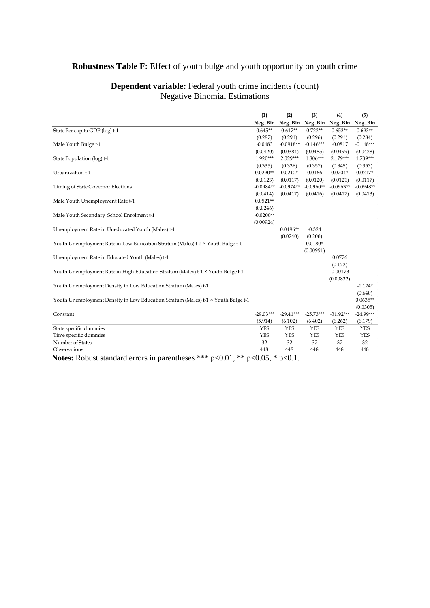#### **Robustness Table F:** Effect of youth bulge and youth opportunity on youth crime

|                                                                                   | (1)         | (2)         | (3)         | (4)         | (5)         |
|-----------------------------------------------------------------------------------|-------------|-------------|-------------|-------------|-------------|
|                                                                                   | Neg_Bin     | Neg_Bin     | Neg_Bin     | Neg_Bin     | Neg_Bin     |
| State Per capita GDP (log) t-1                                                    | $0.645**$   | $0.617**$   | $0.722**$   | $0.653**$   | $0.693**$   |
|                                                                                   | (0.287)     | (0.291)     | (0.296)     | (0.291)     | (0.284)     |
| Male Youth Bulge t-1                                                              | $-0.0483$   | $-0.0918**$ | $-0.146***$ | $-0.0817$   | $-0.148***$ |
|                                                                                   | (0.0420)    | (0.0384)    | (0.0485)    | (0.0499)    | (0.0428)    |
| State Population (log) t-1                                                        | $1.920***$  | $2.029***$  | 1.806***    | 2.179***    | 1.739***    |
|                                                                                   | (0.335)     | (0.336)     | (0.357)     | (0.345)     | (0.353)     |
| Urbanization t-1                                                                  | $0.0290**$  | $0.0212*$   | 0.0166      | $0.0204*$   | $0.0217*$   |
|                                                                                   | (0.0123)    | (0.0117)    | (0.0120)    | (0.0121)    | (0.0117)    |
| Timing of State Governor Elections                                                | $-0.0984**$ | $-0.0974**$ | $-0.0960**$ | $-0.0963**$ | $-0.0948**$ |
|                                                                                   | (0.0414)    | (0.0417)    | (0.0416)    | (0.0417)    | (0.0413)    |
| Male Youth Unemployment Rate t-1                                                  | $0.0521**$  |             |             |             |             |
|                                                                                   | (0.0246)    |             |             |             |             |
| Male Youth Secondary School Enrolment t-1                                         | $-0.0200**$ |             |             |             |             |
|                                                                                   | (0.00924)   |             |             |             |             |
| Unemployment Rate in Uneducated Youth (Males) t-1                                 |             | $0.0496**$  | $-0.324$    |             |             |
|                                                                                   |             | (0.0240)    | (0.206)     |             |             |
| Youth Unemployment Rate in Low Education Stratum (Males) t-1 × Youth Bulge t-1    |             |             | $0.0180*$   |             |             |
|                                                                                   |             |             | (0.00991)   |             |             |
| Unemployment Rate in Educated Youth (Males) t-1                                   |             |             |             | 0.0776      |             |
|                                                                                   |             |             |             | (0.172)     |             |
| Youth Unemployment Rate in High Education Stratum (Males) t-1 × Youth Bulge t-1   |             |             |             | $-0.00173$  |             |
|                                                                                   |             |             |             | (0.00832)   |             |
| Youth Unemployment Density in Low Education Stratum (Males) t-1                   |             |             |             |             | $-1.124*$   |
|                                                                                   |             |             |             |             | (0.640)     |
| Youth Unemployment Density in Low Education Stratum (Males) t-1 × Youth Bulge t-1 |             |             |             |             | $0.0635**$  |
|                                                                                   |             |             |             |             | (0.0305)    |
| Constant                                                                          | $-29.03***$ | $-29.41***$ | $-25.73***$ | $-31.92***$ | $-24.99***$ |
|                                                                                   | (5.914)     | (6.102)     | (6.402)     | (6.262)     | (6.179)     |
| State specific dummies                                                            | <b>YES</b>  | <b>YES</b>  | <b>YES</b>  | <b>YES</b>  | <b>YES</b>  |
| Time specific dummies                                                             | <b>YES</b>  | <b>YES</b>  | <b>YES</b>  | <b>YES</b>  | <b>YES</b>  |
| Number of States                                                                  | 32          | 32          | 32          | 32          | 32          |
| Observations                                                                      | 448         | 448         | 448         | 448         | 448         |

#### **Dependent variable:** Federal youth crime incidents (count) Negative Binomial Estimations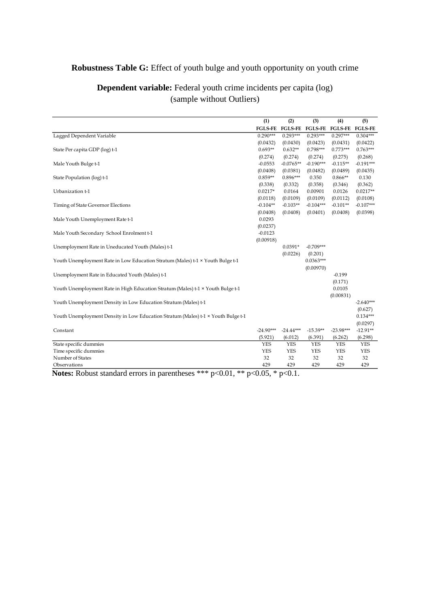#### **Robustness Table G:** Effect of youth bulge and youth opportunity on youth crime

|                                                                                   | (1)            | (2)            | (3)            | (4)            | (5)            |
|-----------------------------------------------------------------------------------|----------------|----------------|----------------|----------------|----------------|
|                                                                                   | <b>FGLS-FE</b> | <b>FGLS-FE</b> | <b>FGLS-FE</b> | <b>FGLS-FE</b> | <b>FGLS-FE</b> |
| Lagged Dependent Variable                                                         | $0.290***$     | $0.293***$     | $0.293***$     | $0.297***$     | $0.304***$     |
|                                                                                   | (0.0432)       | (0.0430)       | (0.0423)       | (0.0431)       | (0.0422)       |
| State Per capita GDP (log) t-1                                                    | $0.693**$      | $0.632**$      | $0.798***$     | $0.773***$     | $0.763***$     |
|                                                                                   | (0.274)        | (0.274)        | (0.274)        | (0.275)        | (0.268)        |
| Male Youth Bulge t-1                                                              | $-0.0553$      | $-0.0765**$    | $-0.190***$    | $-0.115**$     | $-0.191***$    |
|                                                                                   | (0.0408)       | (0.0381)       | (0.0482)       | (0.0489)       | (0.0435)       |
| State Population (log) t-1                                                        | $0.859**$      | $0.896***$     | 0.350          | $0.866**$      | 0.130          |
|                                                                                   | (0.338)        | (0.332)        | (0.358)        | (0.346)        | (0.362)        |
| Urbanization t-1                                                                  | $0.0217*$      | 0.0164         | 0.00901        | 0.0126         | $0.0217**$     |
|                                                                                   | (0.0118)       | (0.0109)       | (0.0109)       | (0.0112)       | (0.0108)       |
| Timing of State Governor Elections                                                | $-0.104**$     | $-0.103**$     | $-0.104***$    | $-0.101**$     | $-0.107***$    |
|                                                                                   | (0.0408)       | (0.0408)       | (0.0401)       | (0.0408)       | (0.0398)       |
| Male Youth Unemployment Rate t-1                                                  | 0.0293         |                |                |                |                |
|                                                                                   | (0.0237)       |                |                |                |                |
| Male Youth Secondary School Enrolment t-1                                         | $-0.0123$      |                |                |                |                |
|                                                                                   | (0.00918)      |                |                |                |                |
| Unemployment Rate in Uneducated Youth (Males) t-1                                 |                | $0.0391*$      | $-0.709***$    |                |                |
|                                                                                   |                | (0.0226)       | (0.201)        |                |                |
| Youth Unemployment Rate in Low Education Stratum (Males) t-1 × Youth Bulge t-1    |                |                | $0.0363***$    |                |                |
|                                                                                   |                |                | (0.00970)      |                |                |
| Unemployment Rate in Educated Youth (Males) t-1                                   |                |                |                | $-0.199$       |                |
|                                                                                   |                |                |                | (0.171)        |                |
| Youth Unemployment Rate in High Education Stratum (Males) t-1 × Youth Bulge t-1   |                |                |                | 0.0105         |                |
|                                                                                   |                |                |                | (0.00831)      |                |
| Youth Unemployment Density in Low Education Stratum (Males) t-1                   |                |                |                |                | $-2.640***$    |
|                                                                                   |                |                |                |                | (0.627)        |
| Youth Unemployment Density in Low Education Stratum (Males) t-1 × Youth Bulge t-1 |                |                |                |                | $0.134***$     |
|                                                                                   |                |                |                |                | (0.0297)       |
| Constant                                                                          | $-24.90***$    | $-24.44***$    | $-15.39**$     | $-23.98***$    | $-12.91**$     |
|                                                                                   | (5.921)        | (6.012)        | (6.391)        | (6.262)        | (6.298)        |
| State specific dummies                                                            | <b>YES</b>     | <b>YES</b>     | <b>YES</b>     | <b>YES</b>     | <b>YES</b>     |
| Time specific dummies                                                             | <b>YES</b>     | <b>YES</b>     | <b>YES</b>     | <b>YES</b>     | <b>YES</b>     |
| Number of States                                                                  | 32             | 32             | 32             | 32             | 32             |
| Observations                                                                      | 429            | 429            | 429            | 429            | 429            |

#### **Dependent variable:** Federal youth crime incidents per capita (log) (sample without Outliers)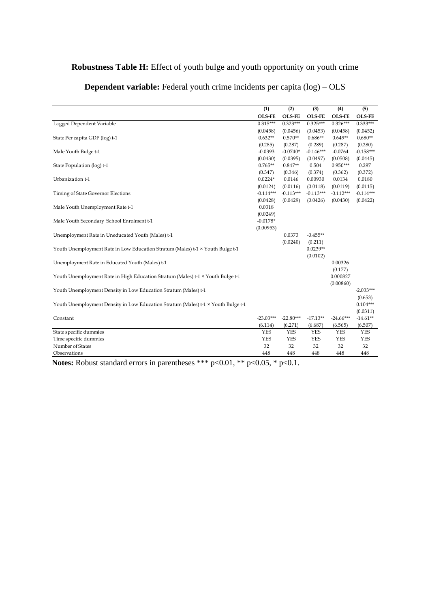#### **Robustness Table H:** Effect of youth bulge and youth opportunity on youth crime

|                                                                                   | (1)           | (2)           | (3)           | (4)           | (5)           |
|-----------------------------------------------------------------------------------|---------------|---------------|---------------|---------------|---------------|
|                                                                                   | <b>OLS-FE</b> | <b>OLS-FE</b> | <b>OLS-FE</b> | <b>OLS-FE</b> | <b>OLS-FE</b> |
| Lagged Dependent Variable                                                         | $0.315***$    | $0.323***$    | $0.325***$    | $0.326***$    | $0.333***$    |
|                                                                                   | (0.0458)      | (0.0456)      | (0.0453)      | (0.0458)      | (0.0452)      |
| State Per capita GDP (log) t-1                                                    | $0.632**$     | $0.570**$     | $0.686**$     | $0.649**$     | $0.680**$     |
|                                                                                   | (0.285)       | (0.287)       | (0.289)       | (0.287)       | (0.280)       |
| Male Youth Bulge t-1                                                              | $-0.0393$     | $-0.0740*$    | $-0.146***$   | $-0.0764$     | $-0.158***$   |
|                                                                                   | (0.0430)      | (0.0395)      | (0.0497)      | (0.0508)      | (0.0445)      |
| State Population (log) t-1                                                        | $0.765**$     | $0.847**$     | 0.504         | $0.950***$    | 0.297         |
|                                                                                   | (0.347)       | (0.346)       | (0.374)       | (0.362)       | (0.372)       |
| Urbanization t-1                                                                  | $0.0224*$     | 0.0146        | 0.00930       | 0.0134        | 0.0180        |
|                                                                                   | (0.0124)      | (0.0116)      | (0.0118)      | (0.0119)      | (0.0115)      |
| Timing of State Governor Elections                                                | $-0.114***$   | $-0.113***$   | $-0.113***$   | $-0.112***$   | $-0.114***$   |
|                                                                                   | (0.0428)      | (0.0429)      | (0.0426)      | (0.0430)      | (0.0422)      |
| Male Youth Unemployment Rate t-1                                                  | 0.0318        |               |               |               |               |
|                                                                                   | (0.0249)      |               |               |               |               |
| Male Youth Secondary School Enrolment t-1                                         | $-0.0178*$    |               |               |               |               |
|                                                                                   | (0.00953)     |               |               |               |               |
| Unemployment Rate in Uneducated Youth (Males) t-1                                 |               | 0.0373        | $-0.455**$    |               |               |
|                                                                                   |               | (0.0240)      | (0.211)       |               |               |
| Youth Unemployment Rate in Low Education Stratum (Males) t-1 × Youth Bulge t-1    |               |               | $0.0239**$    |               |               |
|                                                                                   |               |               | (0.0102)      |               |               |
| Unemployment Rate in Educated Youth (Males) t-1                                   |               |               |               | 0.00326       |               |
|                                                                                   |               |               |               | (0.177)       |               |
| Youth Unemployment Rate in High Education Stratum (Males) t-1 × Youth Bulge t-1   |               |               |               | 0.000827      |               |
|                                                                                   |               |               |               | (0.00860)     | $-2.033***$   |
| Youth Unemployment Density in Low Education Stratum (Males) t-1                   |               |               |               |               | (0.653)       |
| Youth Unemployment Density in Low Education Stratum (Males) t-1 × Youth Bulge t-1 |               |               |               |               | $0.104***$    |
|                                                                                   |               |               |               |               | (0.0311)      |
| Constant                                                                          | $-23.03***$   | $-22.80***$   | $-17.13**$    | $-24.66***$   | $-14.61**$    |
|                                                                                   | (6.114)       | (6.271)       | (6.687)       | (6.565)       | (6.507)       |
| State specific dummies                                                            | <b>YES</b>    | <b>YES</b>    | <b>YES</b>    | <b>YES</b>    | <b>YES</b>    |
| Time specific dummies                                                             | <b>YES</b>    | <b>YES</b>    | <b>YES</b>    | <b>YES</b>    | <b>YES</b>    |
| Number of States                                                                  | 32            | 32            | 32            | 32            | 32            |
| Observations                                                                      | 448           | 448           | 448           | 448           | 448           |
|                                                                                   |               |               |               |               |               |

## **Dependent variable:** Federal youth crime incidents per capita (log) – OLS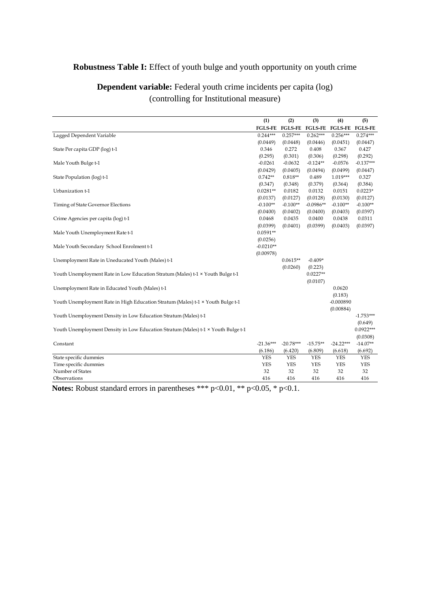#### **Robustness Table I:** Effect of youth bulge and youth opportunity on youth crime

|                                                                                   | (1)            | (2)            | (3)            | (4)            | (5)            |
|-----------------------------------------------------------------------------------|----------------|----------------|----------------|----------------|----------------|
|                                                                                   | <b>FGLS-FE</b> | <b>FGLS-FE</b> | <b>FGLS-FE</b> | <b>FGLS-FE</b> | <b>FGLS-FE</b> |
| Lagged Dependent Variable                                                         | $0.244***$     | $0.257***$     | $0.262***$     | $0.256***$     | $0.274***$     |
|                                                                                   | (0.0449)       | (0.0448)       | (0.0446)       | (0.0451)       | (0.0447)       |
| State Per capita GDP (log) t-1                                                    | 0.346          | 0.272          | 0.408          | 0.367          | 0.427          |
|                                                                                   | (0.295)        | (0.301)        | (0.306)        | (0.298)        | (0.292)        |
| Male Youth Bulge t-1                                                              | $-0.0261$      | $-0.0632$      | $-0.124**$     | $-0.0576$      | $-0.137***$    |
|                                                                                   | (0.0429)       | (0.0405)       | (0.0494)       | (0.0499)       | (0.0447)       |
| State Population (log) t-1                                                        | $0.742**$      | $0.818**$      | 0.489          | 1.019***       | 0.327          |
|                                                                                   | (0.347)        | (0.348)        | (0.379)        | (0.364)        | (0.384)        |
| Urbanization t-1                                                                  | $0.0281**$     | 0.0182         | 0.0132         | 0.0151         | $0.0223*$      |
|                                                                                   | (0.0137)       | (0.0127)       | (0.0128)       | (0.0130)       | (0.0127)       |
| Timing of State Governor Elections                                                | $-0.100**$     | $-0.100**$     | $-0.0986**$    | $-0.100**$     | $-0.100**$     |
|                                                                                   | (0.0400)       | (0.0402)       | (0.0400)       | (0.0403)       | (0.0397)       |
| Crime Agencies per capita (log) t-1                                               | 0.0468         | 0.0435         | 0.0400         | 0.0438         | 0.0311         |
|                                                                                   | (0.0399)       | (0.0401)       | (0.0399)       | (0.0403)       | (0.0397)       |
| Male Youth Unemployment Rate t-1                                                  | $0.0591**$     |                |                |                |                |
|                                                                                   | (0.0256)       |                |                |                |                |
| Male Youth Secondary School Enrolment t-1                                         | $-0.0210**$    |                |                |                |                |
|                                                                                   | (0.00978)      |                |                |                |                |
| Unemployment Rate in Uneducated Youth (Males) t-1                                 |                | $0.0615**$     | $-0.409*$      |                |                |
|                                                                                   |                | (0.0260)       | (0.223)        |                |                |
| Youth Unemployment Rate in Low Education Stratum (Males) t-1 × Youth Bulge t-1    |                |                | $0.0227**$     |                |                |
|                                                                                   |                |                | (0.0107)       |                |                |
| Unemployment Rate in Educated Youth (Males) t-1                                   |                |                |                | 0.0620         |                |
|                                                                                   |                |                |                | (0.183)        |                |
| Youth Unemployment Rate in High Education Stratum (Males) t-1 × Youth Bulge t-1   |                |                |                | $-0.000890$    |                |
| Youth Unemployment Density in Low Education Stratum (Males) t-1                   |                |                |                | (0.00884)      | $-1.753***$    |
|                                                                                   |                |                |                |                | (0.649)        |
| Youth Unemployment Density in Low Education Stratum (Males) t-1 x Youth Bulge t-1 |                |                |                |                | $0.0922***$    |
|                                                                                   |                |                |                |                | (0.0308)       |
| Constant                                                                          | $-21.36***$    | $-20.78***$    | $-15.75**$     | $-24.22***$    | $-14.07**$     |
|                                                                                   | (6.186)        | (6.420)        | (6.809)        | (6.618)        | (6.692)        |
| State specific dummies                                                            | <b>YES</b>     | <b>YES</b>     | <b>YES</b>     | <b>YES</b>     | <b>YES</b>     |
| Time specific dummies                                                             | <b>YES</b>     | <b>YES</b>     | <b>YES</b>     | <b>YES</b>     | <b>YES</b>     |
| Number of States                                                                  | 32             | 32             | 32             | 32             | 32             |
| Observations                                                                      | 416            | 416            | 416            | 416            | 416            |
|                                                                                   |                |                |                |                |                |

#### **Dependent variable:** Federal youth crime incidents per capita (log) (controlling for Institutional measure)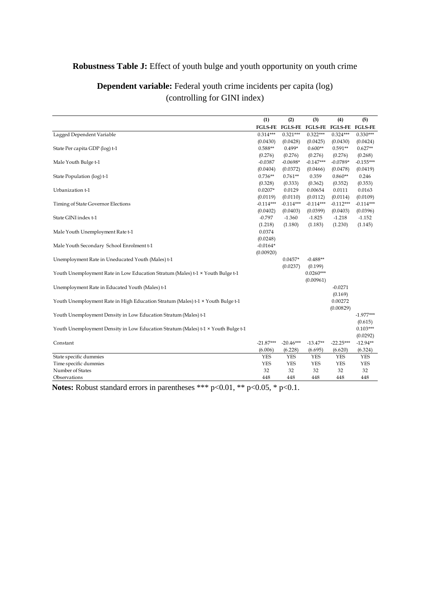#### **Robustness Table J:** Effect of youth bulge and youth opportunity on youth crime

|                                                                                   | (1)                      | (2)                      | (3)                      | (4)              | (5)                      |
|-----------------------------------------------------------------------------------|--------------------------|--------------------------|--------------------------|------------------|--------------------------|
|                                                                                   | <b>FGLS-FE</b>           | <b>FGLS-FE</b>           | <b>FGLS-FE</b>           | <b>FGLS-FE</b>   | <b>FGLS-FE</b>           |
| Lagged Dependent Variable                                                         | $0.314***$               | $0.321***$               | $0.322***$               | $0.324***$       | $0.330***$               |
|                                                                                   | (0.0430)                 | (0.0428)                 | (0.0425)                 | (0.0430)         | (0.0424)                 |
| State Per capita GDP (log) t-1                                                    | $0.588**$                | $0.499*$                 | $0.600**$                | $0.591**$        | $0.627**$                |
|                                                                                   | (0.276)                  | (0.276)                  | (0.276)                  | (0.276)          | (0.268)                  |
| Male Youth Bulge t-1                                                              | $-0.0387$                | $-0.0698*$               | $-0.147***$              | $-0.0789*$       | $-0.155***$              |
|                                                                                   | (0.0404)                 | (0.0372)                 | (0.0466)                 | (0.0478)         | (0.0419)                 |
| State Population (log) t-1                                                        | $0.736**$                | $0.761**$                | 0.359                    | $0.860**$        | 0.246                    |
|                                                                                   | (0.328)                  | (0.333)                  | (0.362)                  | (0.352)          | (0.353)                  |
| Urbanization t-1                                                                  | $0.0207*$                | 0.0129                   | 0.00654                  | 0.0111           | 0.0163                   |
|                                                                                   | (0.0119)                 | (0.0110)                 | (0.0112)                 | (0.0114)         | (0.0109)                 |
| Timing of State Governor Elections                                                | $-0.114***$              | $-0.114***$              | $-0.114***$              | $-0.112***$      | $-0.114***$              |
|                                                                                   | (0.0402)                 | (0.0403)                 | (0.0399)                 | (0.0403)         | (0.0396)                 |
| State GINI index t-1                                                              | $-0.797$                 | $-1.360$                 | $-1.825$                 | $-1.218$         | $-1.152$                 |
|                                                                                   | (1.218)                  | (1.180)                  | (1.183)                  | (1.230)          | (1.145)                  |
| Male Youth Unemployment Rate t-1                                                  | 0.0374                   |                          |                          |                  |                          |
|                                                                                   | (0.0248)                 |                          |                          |                  |                          |
| Male Youth Secondary School Enrolment t-1                                         | $-0.0164*$               |                          |                          |                  |                          |
|                                                                                   | (0.00920)                |                          |                          |                  |                          |
| Unemployment Rate in Uneducated Youth (Males) t-1                                 |                          | $0.0457*$                | $-0.488**$               |                  |                          |
|                                                                                   |                          | (0.0237)                 | (0.199)                  |                  |                          |
| Youth Unemployment Rate in Low Education Stratum (Males) t-1 × Youth Bulge t-1    |                          |                          | $0.0260***$              |                  |                          |
|                                                                                   |                          |                          | (0.00961)                |                  |                          |
| Unemployment Rate in Educated Youth (Males) t-1                                   |                          |                          |                          | $-0.0271$        |                          |
|                                                                                   |                          |                          |                          | (0.169)          |                          |
| Youth Unemployment Rate in High Education Stratum (Males) t-1 × Youth Bulge t-1   |                          |                          |                          | 0.00272          |                          |
|                                                                                   |                          |                          |                          | (0.00829)        |                          |
| Youth Unemployment Density in Low Education Stratum (Males) t-1                   |                          |                          |                          |                  | $-1.977***$              |
|                                                                                   |                          |                          |                          |                  | (0.615)                  |
| Youth Unemployment Density in Low Education Stratum (Males) t-1 × Youth Bulge t-1 |                          |                          |                          |                  | $0.103***$               |
|                                                                                   |                          |                          |                          |                  | (0.0292)                 |
| Constant                                                                          | $-21.87***$              | $-20.46***$              | $-13.47**$               | $-22.25***$      | $-12.94**$               |
|                                                                                   | (6.006)                  | (6.228)                  | (6.695)                  | (6.620)          | (6.324)                  |
| State specific dummies<br>Time specific dummies                                   | <b>YES</b><br><b>YES</b> | <b>YES</b><br><b>YES</b> | <b>YES</b><br><b>YES</b> | <b>YES</b>       | <b>YES</b><br><b>YES</b> |
| Number of States                                                                  | 32                       | 32                       | 32                       | <b>YES</b><br>32 | 32                       |
|                                                                                   | 448                      | 448                      | 448                      | 448              | 448                      |
| Observations                                                                      |                          |                          |                          |                  |                          |

### **Dependent variable:** Federal youth crime incidents per capita (log) (controlling for GINI index)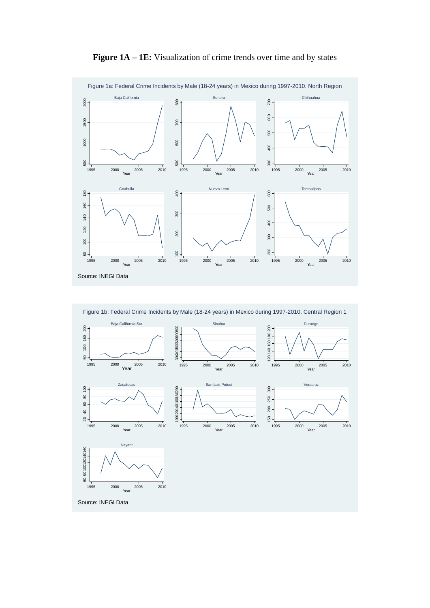

**Figure 1A – 1E:** Visualization of crime trends over time and by states

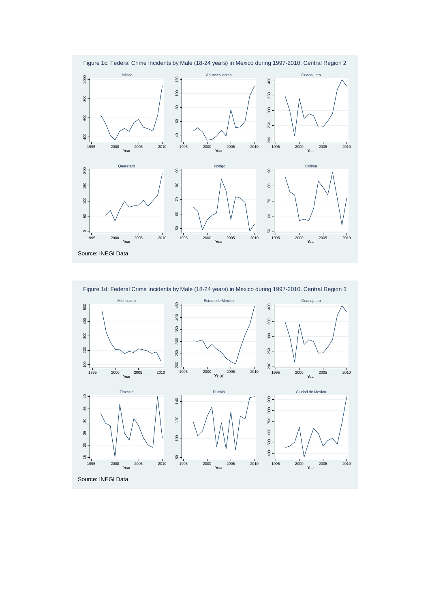